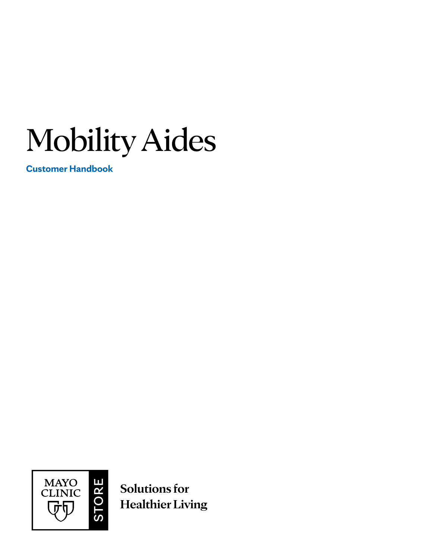Mobility Aides

**Customer Handbook**



**Solutions for Healthier Living**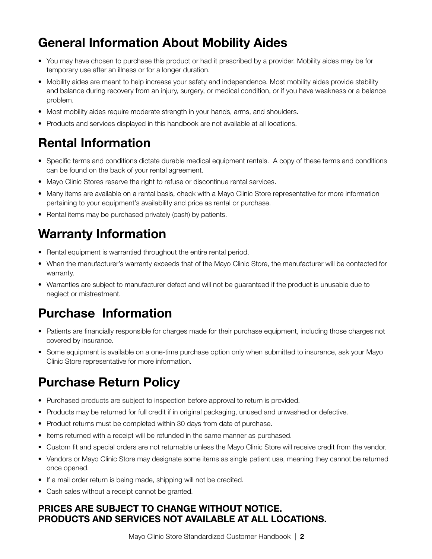## General Information About Mobility Aides

- You may have chosen to purchase this product or had it prescribed by a provider. Mobility aides may be for temporary use after an illness or for a longer duration.
- Mobility aides are meant to help increase your safety and independence. Most mobility aides provide stability and balance during recovery from an injury, surgery, or medical condition, or if you have weakness or a balance problem.
- Most mobility aides require moderate strength in your hands, arms, and shoulders.
- Products and services displayed in this handbook are not available at all locations.

#### Rental Information

- Specific terms and conditions dictate durable medical equipment rentals. A copy of these terms and conditions can be found on the back of your rental agreement.
- Mayo Clinic Stores reserve the right to refuse or discontinue rental services.
- Many items are available on a rental basis, check with a Mayo Clinic Store representative for more information pertaining to your equipment's availability and price as rental or purchase.
- Rental items may be purchased privately (cash) by patients.

## Warranty Information

- Rental equipment is warrantied throughout the entire rental period.
- When the manufacturer's warranty exceeds that of the Mayo Clinic Store, the manufacturer will be contacted for warranty.
- Warranties are subject to manufacturer defect and will not be guaranteed if the product is unusable due to neglect or mistreatment.

## Purchase Information

- Patients are financially responsible for charges made for their purchase equipment, including those charges not covered by insurance.
- Some equipment is available on a one-time purchase option only when submitted to insurance, ask your Mayo Clinic Store representative for more information.

## Purchase Return Policy

- Purchased products are subject to inspection before approval to return is provided.
- Products may be returned for full credit if in original packaging, unused and unwashed or defective.
- Product returns must be completed within 30 days from date of purchase.
- Items returned with a receipt will be refunded in the same manner as purchased.
- Custom fit and special orders are not returnable unless the Mayo Clinic Store will receive credit from the vendor.
- Vendors or Mayo Clinic Store may designate some items as single patient use, meaning they cannot be returned once opened.
- If a mail order return is being made, shipping will not be credited.
- Cash sales without a receipt cannot be granted.

#### PRICES ARE SUBJECT TO CHANGE WITHOUT NOTICE. PRODUCTS AND SERVICES NOT AVAILABLE AT ALL LOCATIONS.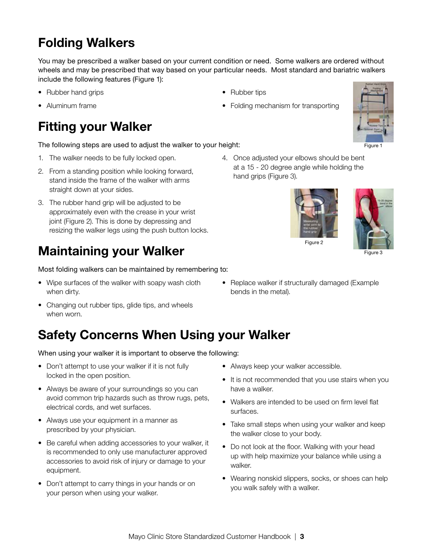## Folding Walkers

You may be prescribed a walker based on your current condition or need. Some walkers are ordered without wheels and may be prescribed that way based on your particular needs. Most standard and bariatric walkers include the following features (Figure 1):

• Rubber tips

- Rubber hand grips
- Aluminum frame

## Fitting your Walker

#### The following steps are used to adjust the walker to your height:

- 1. The walker needs to be fully locked open.
- 2. From a standing position while looking forward, stand inside the frame of the walker with arms straight down at your sides.
- 3. The rubber hand grip will be adjusted to be approximately even with the crease in your wrist joint (Figure 2). This is done by depressing and resizing the walker legs using the push button locks.

#### Maintaining your Walker

Most folding walkers can be maintained by remembering to:

- Wipe surfaces of the walker with soapy wash cloth when dirty.
- Changing out rubber tips, glide tips, and wheels when worn.

## Safety Concerns When Using your Walker

When using your walker it is important to observe the following:

- Don't attempt to use your walker if it is not fully locked in the open position.
- Always be aware of your surroundings so you can avoid common trip hazards such as throw rugs, pets, electrical cords, and wet surfaces.
- Always use your equipment in a manner as prescribed by your physician.
- Be careful when adding accessories to your walker, it is recommended to only use manufacturer approved accessories to avoid risk of injury or damage to your equipment.
- Don't attempt to carry things in your hands or on your person when using your walker.

4. Once adjusted your elbows should be bent at a 15 - 20 degree angle while holding the hand grips (Figure 3).

• Folding mechanism for transporting





Figure 3

• Replace walker if structurally damaged (Example bends in the metal).

- Always keep your walker accessible.
- It is not recommended that you use stairs when you have a walker.
- Walkers are intended to be used on firm level flat surfaces.
- Take small steps when using your walker and keep the walker close to your body.
- Do not look at the floor. Walking with your head up with help maximize your balance while using a walker.
- Wearing nonskid slippers, socks, or shoes can help you walk safely with a walker.

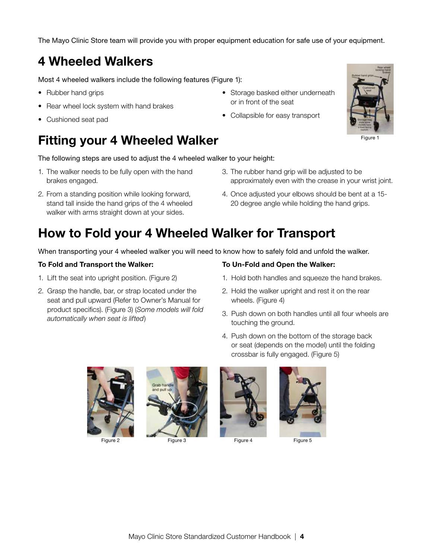The Mayo Clinic Store team will provide you with proper equipment education for safe use of your equipment.

#### 4 Wheeled Walkers

Most 4 wheeled walkers include the following features (Figure 1):

- Rubber hand grips
- Rear wheel lock system with hand brakes
- Cushioned seat pad

#### Fitting your 4 Wheeled Walker

The following steps are used to adjust the 4 wheeled walker to your height:

- 1. The walker needs to be fully open with the hand brakes engaged.
- 2. From a standing position while looking forward, stand tall inside the hand grips of the 4 wheeled walker with arms straight down at your sides.
- Storage basked either underneath or in front of the seat
- Collapsible for easy transport



Figure 1

- 3. The rubber hand grip will be adjusted to be approximately even with the crease in your wrist joint.
- 4. Once adjusted your elbows should be bent at a 15- 20 degree angle while holding the hand grips.

#### How to Fold your 4 Wheeled Walker for Transport

When transporting your 4 wheeled walker you will need to know how to safely fold and unfold the walker.

#### To Fold and Transport the Walker:

- 1. Lift the seat into upright position. (Figure 2)
- 2. Grasp the handle, bar, or strap located under the seat and pull upward (Refer to Owner's Manual for product specifics). (Figure 3) (*Some models will fold automatically when seat is lifted*)

#### To Un-Fold and Open the Walker:

- 1. Hold both handles and squeeze the hand brakes.
- 2. Hold the walker upright and rest it on the rear wheels. (Figure 4)
- 3. Push down on both handles until all four wheels are touching the ground.
- 4. Push down on the bottom of the storage back or seat (depends on the model) until the folding crossbar is fully engaged. (Figure 5)





Figure 2 Figure 3 Figure 4 Figure 5



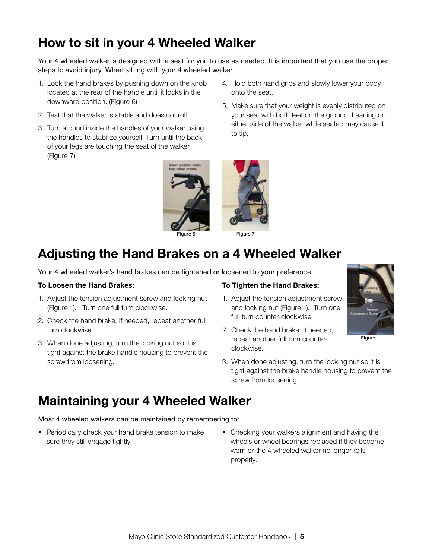## How to sit in your 4 Wheeled Walker

Your 4 wheeled walker is designed with a seat for you to use as needed. It is important that you use the proper steps to avoid injury. When sitting with your 4 wheeled walker

- 1. Lock the hand brakes by pushing down on the knob located at the rear of the handle until it locks in the downward position. (Figure 6)
- 2. Test that the walker is stable and does not roll .
- 3. Turn around inside the handles of your walker using the handles to stabilize yourself. Turn until the back of your legs are touching the seat of the walker. (Figure 7)



- 4. Hold both hand grips and slowly lower your body onto the seat.
- 5. Make sure that your weight is evenly distributed on your seat with both feet on the ground. Leaning on either side of the walker while seated may cause it to tip.



Figure 7

## Adjusting the Hand Brakes on a 4 Wheeled Walker

Your 4 wheeled walker's hand brakes can be tightened or loosened to your preference.

#### To Loosen the Hand Brakes:

- 1. Adjust the tension adjustment screw and locking nut (Figure 1). Turn one full turn clockwise.
- 2. Check the hand brake. If needed, repeat another full turn clockwise.
- 3. When done adjusting, turn the locking nut so it is tight against the brake handle housing to prevent the screw from loosening.

#### To Tighten the Hand Brakes:

- 1. Adjust the tension adjustment screw and locking nut (Figure 1). Turn one full turn counter-clockwise.
- 2. Check the hand brake. If needed, repeat another full turn counterclockwise.
- 3. When done adjusting, turn the locking nut so it is tight against the brake handle housing to prevent the screw from loosening.

#### Maintaining your 4 Wheeled Walker

Most 4 wheeled walkers can be maintained by remembering to:

- Periodically check your hand brake tension to make sure they still engage tightly.
- Checking your walkers alignment and having the wheels or wheel bearings replaced if they become worn or the 4 wheeled walker no longer rolls properly.



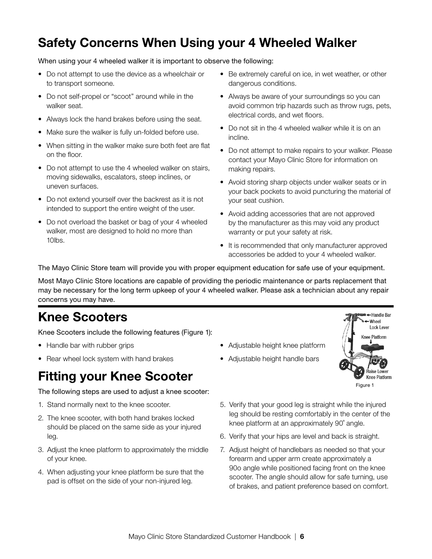## Safety Concerns When Using your 4 Wheeled Walker

When using your 4 wheeled walker it is important to observe the following:

- Do not attempt to use the device as a wheelchair or to transport someone.
- Do not self-propel or "scoot" around while in the walker seat.
- Always lock the hand brakes before using the seat.
- Make sure the walker is fully un-folded before use.
- When sitting in the walker make sure both feet are flat on the floor.
- Do not attempt to use the 4 wheeled walker on stairs, moving sidewalks, escalators, steep inclines, or uneven surfaces.
- Do not extend yourself over the backrest as it is not intended to support the entire weight of the user.
- Do not overload the basket or bag of your 4 wheeled walker, most are designed to hold no more than 10lbs.
- Be extremely careful on ice, in wet weather, or other dangerous conditions.
- Always be aware of your surroundings so you can avoid common trip hazards such as throw rugs, pets, electrical cords, and wet floors.
- Do not sit in the 4 wheeled walker while it is on an incline.
- Do not attempt to make repairs to your walker. Please contact your Mayo Clinic Store for information on making repairs.
- Avoid storing sharp objects under walker seats or in your back pockets to avoid puncturing the material of your seat cushion.
- Avoid adding accessories that are not approved by the manufacturer as this may void any product warranty or put your safety at risk.
- It is recommended that only manufacturer approved accessories be added to your 4 wheeled walker.

The Mayo Clinic Store team will provide you with proper equipment education for safe use of your equipment.

Most Mayo Clinic Store locations are capable of providing the periodic maintenance or parts replacement that may be necessary for the long term upkeep of your 4 wheeled walker. Please ask a technician about any repair concerns you may have.

## Knee Scooters

Knee Scooters include the following features (Figure 1):

- Handle bar with rubber grips
- Rear wheel lock system with hand brakes

#### Fitting your Knee Scooter

The following steps are used to adjust a knee scooter:

- 1. Stand normally next to the knee scooter.
- 2. The knee scooter, with both hand brakes locked should be placed on the same side as your injured leg.
- 3. Adjust the knee platform to approximately the middle of your knee.
- 4. When adjusting your knee platform be sure that the pad is offset on the side of your non-injured leg.
- Adjustable height knee platform
- Adjustable height handle bars



- 5. Verify that your good leg is straight while the injured leg should be resting comfortably in the center of the knee platform at an approximately 90˚ angle.
- 6. Verify that your hips are level and back is straight.
- 7. Adjust height of handlebars as needed so that your forearm and upper arm create approximately a 90o angle while positioned facing front on the knee scooter. The angle should allow for safe turning, use of brakes, and patient preference based on comfort.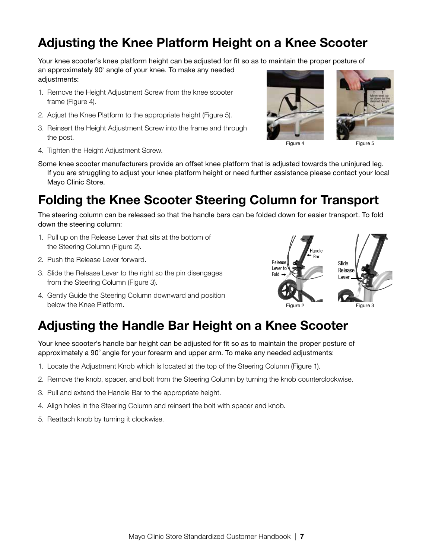#### Adjusting the Knee Platform Height on a Knee Scooter

Your knee scooter's knee platform height can be adjusted for fit so as to maintain the proper posture of

an approximately 90˚ angle of your knee. To make any needed adjustments:

- 1. Remove the Height Adjustment Screw from the knee scooter frame (Figure 4).
- 2. Adjust the Knee Platform to the appropriate height (Figure 5).
- 3. Reinsert the Height Adjustment Screw into the frame and through the post.
- 4. Tighten the Height Adjustment Screw.



Some knee scooter manufacturers provide an offset knee platform that is adjusted towards the uninjured leg. If you are struggling to adjust your knee platform height or need further assistance please contact your local Mayo Clinic Store.

## Folding the Knee Scooter Steering Column for Transport

The steering column can be released so that the handle bars can be folded down for easier transport. To fold down the steering column:

- 1. Pull up on the Release Lever that sits at the bottom of the Steering Column (Figure 2).
- 2. Push the Release Lever forward.
- 3. Slide the Release Lever to the right so the pin disengages from the Steering Column (Figure 3).
- 4. Gently Guide the Steering Column downward and position below the Knee Platform.



#### Adjusting the Handle Bar Height on a Knee Scooter

Your knee scooter's handle bar height can be adjusted for fit so as to maintain the proper posture of approximately a 90˚ angle for your forearm and upper arm. To make any needed adjustments:

- 1. Locate the Adjustment Knob which is located at the top of the Steering Column (Figure 1).
- 2. Remove the knob, spacer, and bolt from the Steering Column by turning the knob counterclockwise.
- 3. Pull and extend the Handle Bar to the appropriate height.
- 4. Align holes in the Steering Column and reinsert the bolt with spacer and knob.
- 5. Reattach knob by turning it clockwise.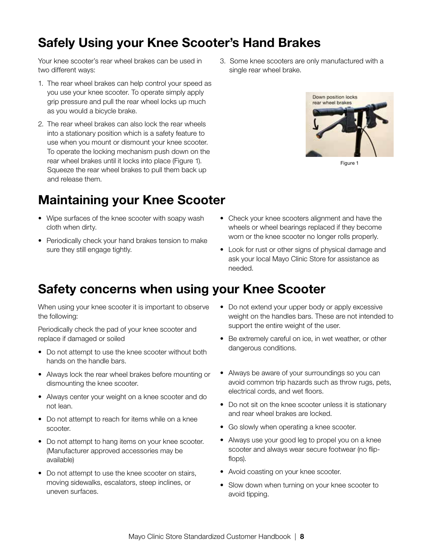## Safely Using your Knee Scooter's Hand Brakes

Your knee scooter's rear wheel brakes can be used in two different ways:

- 1. The rear wheel brakes can help control your speed as you use your knee scooter. To operate simply apply grip pressure and pull the rear wheel locks up much as you would a bicycle brake.
- 2. The rear wheel brakes can also lock the rear wheels into a stationary position which is a safety feature to use when you mount or dismount your knee scooter. To operate the locking mechanism push down on the rear wheel brakes until it locks into place (Figure 1). Squeeze the rear wheel brakes to pull them back up and release them.

### Maintaining your Knee Scooter

- Wipe surfaces of the knee scooter with soapy wash cloth when dirty.
- Periodically check your hand brakes tension to make sure they still engage tightly.

3. Some knee scooters are only manufactured with a single rear wheel brake.



Figure 1

- Check your knee scooters alignment and have the wheels or wheel bearings replaced if they become worn or the knee scooter no longer rolls properly.
- Look for rust or other signs of physical damage and ask your local Mayo Clinic Store for assistance as needed.

#### Safety concerns when using your Knee Scooter

When using your knee scooter it is important to observe the following:

Periodically check the pad of your knee scooter and replace if damaged or soiled

- Do not attempt to use the knee scooter without both hands on the handle bars.
- Always lock the rear wheel brakes before mounting or dismounting the knee scooter.
- Always center your weight on a knee scooter and do not lean.
- Do not attempt to reach for items while on a knee scooter.
- Do not attempt to hang items on your knee scooter. (Manufacturer approved accessories may be available)
- Do not attempt to use the knee scooter on stairs, moving sidewalks, escalators, steep inclines, or uneven surfaces.
- Do not extend your upper body or apply excessive weight on the handles bars. These are not intended to support the entire weight of the user.
- Be extremely careful on ice, in wet weather, or other dangerous conditions.
- Always be aware of your surroundings so you can avoid common trip hazards such as throw rugs, pets, electrical cords, and wet floors.
- Do not sit on the knee scooter unless it is stationary and rear wheel brakes are locked.
- Go slowly when operating a knee scooter.
- Always use your good leg to propel you on a knee scooter and always wear secure footwear (no flipflops).
- Avoid coasting on your knee scooter.
- Slow down when turning on your knee scooter to avoid tipping.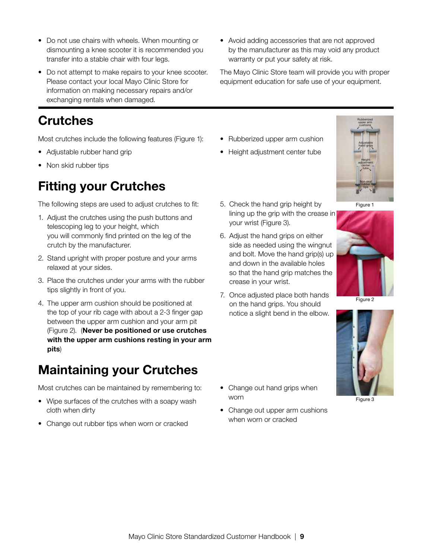- Do not use chairs with wheels. When mounting or dismounting a knee scooter it is recommended you transfer into a stable chair with four legs.
- Do not attempt to make repairs to your knee scooter. Please contact your local Mayo Clinic Store for information on making necessary repairs and/or exchanging rentals when damaged.

### Crutches

Most crutches include the following features (Figure 1):

- Adjustable rubber hand grip
- Non skid rubber tips

## Fitting your Crutches

The following steps are used to adjust crutches to fit:

- 1. Adjust the crutches using the push buttons and telescoping leg to your height, which you will commonly find printed on the leg of the crutch by the manufacturer.
- 2. Stand upright with proper posture and your arms relaxed at your sides.
- 3. Place the crutches under your arms with the rubber tips slightly in front of you.
- 4. The upper arm cushion should be positioned at the top of your rib cage with about a 2-3 finger gap between the upper arm cushion and your arm pit (Figure 2). (Never be positioned or use crutches with the upper arm cushions resting in your arm pits)

### Maintaining your Crutches

Most crutches can be maintained by remembering to:

- Wipe surfaces of the crutches with a soapy wash cloth when dirty
- Change out rubber tips when worn or cracked

• Avoid adding accessories that are not approved by the manufacturer as this may void any product warranty or put your safety at risk.

The Mayo Clinic Store team will provide you with proper equipment education for safe use of your equipment.

- Rubberized upper arm cushion
- Height adjustment center tube



Figure 1

- 5. Check the hand grip height by lining up the grip with the crease in your wrist (Figure 3).
- 6. Adjust the hand grips on either side as needed using the wingnut and bolt. Move the hand grip(s) up and down in the available holes so that the hand grip matches the crease in your wrist.
- 7. Once adjusted place both hands on the hand grips. You should notice a slight bend in the elbow.



Figure 3

- Change out hand grips when worn
- Change out upper arm cushions when worn or cracked

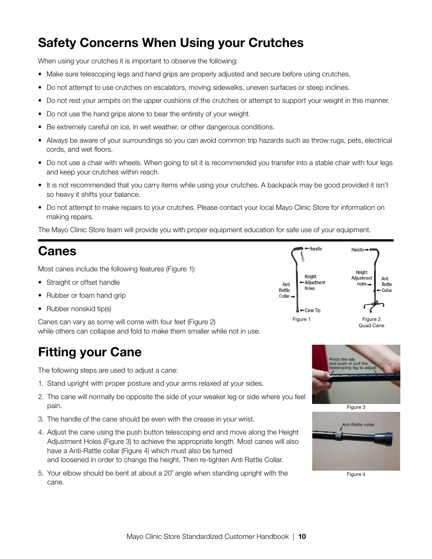## Safety Concerns When Using your Crutches

When using your crutches it is important to observe the following:

- Make sure telescoping legs and hand grips are properly adjusted and secure before using crutches.
- Do not attempt to use crutches on escalators, moving sidewalks, uneven surfaces or steep inclines.
- Do not rest your armpits on the upper cushions of the crutches or attempt to support your weight in this manner.
- Do not use the hand grips alone to bear the entirety of your weight.
- Be extremely careful on ice, in wet weather, or other dangerous conditions.
- Always be aware of your surroundings so you can avoid common trip hazards such as throw rugs, pets, electrical cords, and wet floors.
- Do not use a chair with wheels. When going to sit it is recommended you transfer into a stable chair with four legs and keep your crutches within reach.
- It is not recommended that you carry items while using your crutches. A backpack may be good provided it isn't so heavy it shifts your balance.
- Do not attempt to make repairs to your crutches. Please contact your local Mayo Clinic Store for information on making repairs.

The Mayo Clinic Store team will provide you with proper equipment education for safe use of your equipment.

#### Canes

Most canes include the following features (Figure 1):

- Straight or offset handle
- Rubber or foam hand grip
- Rubber nonskid tip(s)

Canes can vary as some will come with four feet (Figure 2) while others can collapse and fold to make them smaller while not in use.

### Fitting your Cane

The following steps are used to adjust a cane:

- 1. Stand upright with proper posture and your arms relaxed at your sides.
- 2. The cane will normally be opposite the side of your weaker leg or side where you feel pain.
- 3. The handle of the cane should be even with the crease in your wrist.
- 4. Adjust the cane using the push button telescoping end and move along the Height Adjustment Holes (Figure 3) to achieve the appropriate length. Most canes will also have a Anti-Rattle collar (Figure 4) which must also be turned and loosened in order to change the height. Then re-tighten Anti Rattle Collar.
- 5. Your elbow should be bent at about a 20˚ angle when standing upright with the cane.







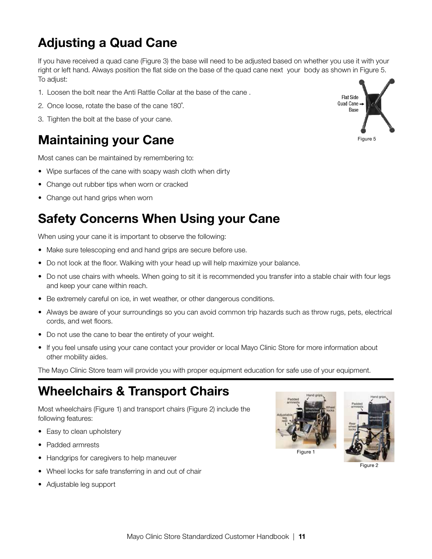# Adjusting a Quad Cane

If you have received a quad cane (Figure 3) the base will need to be adjusted based on whether you use it with your right or left hand. Always position the flat side on the base of the quad cane next your body as shown in Figure 5. To adjust:

- 1. Loosen the bolt near the Anti Rattle Collar at the base of the cane .
- 2. Once loose, rotate the base of the cane 180˚.
- 3. Tighten the bolt at the base of your cane.

### Maintaining your Cane

Most canes can be maintained by remembering to:

- Wipe surfaces of the cane with soapy wash cloth when dirty
- Change out rubber tips when worn or cracked
- Change out hand grips when worn

### Safety Concerns When Using your Cane

When using your cane it is important to observe the following:

- Make sure telescoping end and hand grips are secure before use.
- Do not look at the floor. Walking with your head up will help maximize your balance.
- Do not use chairs with wheels. When going to sit it is recommended you transfer into a stable chair with four legs and keep your cane within reach.
- Be extremely careful on ice, in wet weather, or other dangerous conditions.
- Always be aware of your surroundings so you can avoid common trip hazards such as throw rugs, pets, electrical cords, and wet floors.
- Do not use the cane to bear the entirety of your weight.
- If you feel unsafe using your cane contact your provider or local Mayo Clinic Store for more information about other mobility aides.

The Mayo Clinic Store team will provide you with proper equipment education for safe use of your equipment.

#### Wheelchairs & Transport Chairs

Most wheelchairs (Figure 1) and transport chairs (Figure 2) include the following features:

- Easy to clean upholstery
- Padded armrests
- Handgrips for caregivers to help maneuver
- Wheel locks for safe transferring in and out of chair
- Adjustable leg support







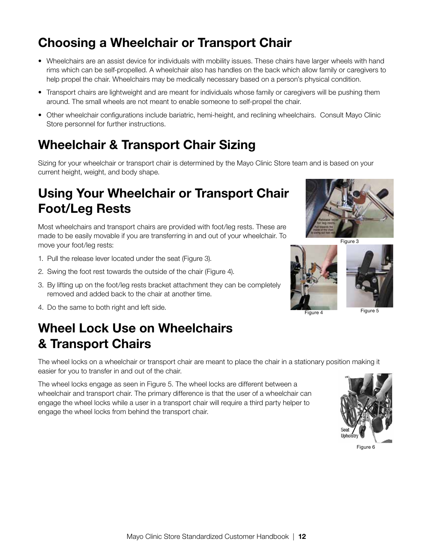## Choosing a Wheelchair or Transport Chair

- Wheelchairs are an assist device for individuals with mobility issues. These chairs have larger wheels with hand rims which can be self-propelled. A wheelchair also has handles on the back which allow family or caregivers to help propel the chair. Wheelchairs may be medically necessary based on a person's physical condition.
- Transport chairs are lightweight and are meant for individuals whose family or caregivers will be pushing them around. The small wheels are not meant to enable someone to self-propel the chair.
- Other wheelchair configurations include bariatric, hemi-height, and reclining wheelchairs. Consult Mayo Clinic Store personnel for further instructions.

#### Wheelchair & Transport Chair Sizing

Sizing for your wheelchair or transport chair is determined by the Mayo Clinic Store team and is based on your current height, weight, and body shape.

### Using Your Wheelchair or Transport Chair Foot/Leg Rests

Most wheelchairs and transport chairs are provided with foot/leg rests. These are made to be easily movable if you are transferring in and out of your wheelchair. To move your foot/leg rests:

- 1. Pull the release lever located under the seat (Figure 3).
- 2. Swing the foot rest towards the outside of the chair (Figure 4).
- 3. By lifting up on the foot/leg rests bracket attachment they can be completely removed and added back to the chair at another time.
- 4. Do the same to both right and left side.

## Wheel Lock Use on Wheelchairs & Transport Chairs

The wheel locks on a wheelchair or transport chair are meant to place the chair in a stationary position making it easier for you to transfer in and out of the chair.

The wheel locks engage as seen in Figure 5. The wheel locks are different between a wheelchair and transport chair. The primary difference is that the user of a wheelchair can engage the wheel locks while a user in a transport chair will require a third party helper to engage the wheel locks from behind the transport chair.



Figure 6







Figure 4

Figure 5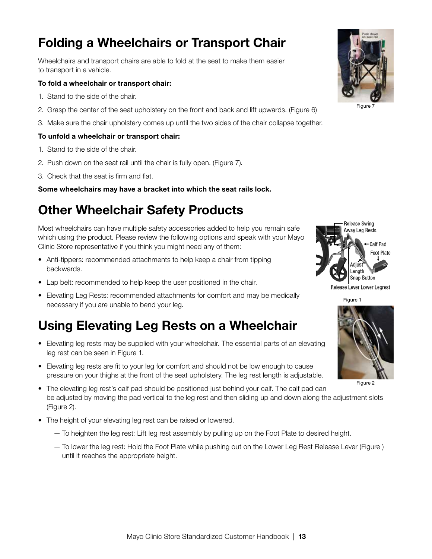## Folding a Wheelchairs or Transport Chair

Wheelchairs and transport chairs are able to fold at the seat to make them easier to transport in a vehicle.

#### To fold a wheelchair or transport chair:

- 1. Stand to the side of the chair.
- 2. Grasp the center of the seat upholstery on the front and back and lift upwards. (Figure 6)
- 3. Make sure the chair upholstery comes up until the two sides of the chair collapse together.

#### To unfold a wheelchair or transport chair:

- 1. Stand to the side of the chair.
- 2. Push down on the seat rail until the chair is fully open. (Figure 7).
- 3. Check that the seat is firm and flat.

Some wheelchairs may have a bracket into which the seat rails lock.

#### Other Wheelchair Safety Products

Most wheelchairs can have multiple safety accessories added to help you remain safe which using the product. Please review the following options and speak with your Mayo Clinic Store representative if you think you might need any of them:

- Anti-tippers: recommended attachments to help keep a chair from tipping backwards.
- Lap belt: recommended to help keep the user positioned in the chair.
- Elevating Leg Rests: recommended attachments for comfort and may be medically necessary if you are unable to bend your leg.

### Using Elevating Leg Rests on a Wheelchair

- Elevating leg rests may be supplied with your wheelchair. The essential parts of an elevating leg rest can be seen in Figure 1.
- Elevating leg rests are fit to your leg for comfort and should not be low enough to cause pressure on your thighs at the front of the seat upholstery. The leg rest length is adjustable.
- The elevating leg rest's calf pad should be positioned just behind your calf. The calf pad can be adjusted by moving the pad vertical to the leg rest and then sliding up and down along the adjustment slots (Figure 2).
- The height of your elevating leg rest can be raised or lowered.
	- To heighten the leg rest: Lift leg rest assembly by pulling up on the Foot Plate to desired height.
	- To lower the leg rest: Hold the Foot Plate while pushing out on the Lower Leg Rest Release Lever (Figure ) until it reaches the appropriate height.







Release Lever Lower Legrest





Figure 2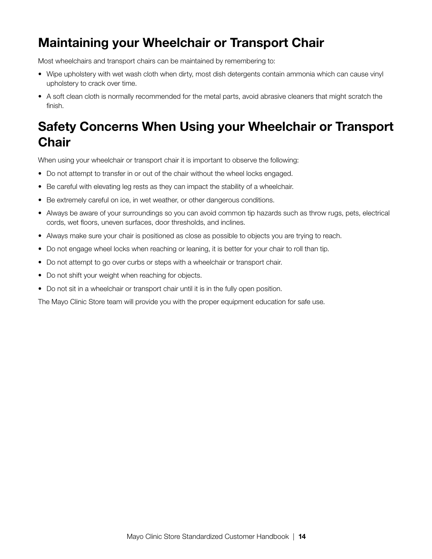## Maintaining your Wheelchair or Transport Chair

Most wheelchairs and transport chairs can be maintained by remembering to:

- Wipe upholstery with wet wash cloth when dirty, most dish detergents contain ammonia which can cause vinyl upholstery to crack over time.
- A soft clean cloth is normally recommended for the metal parts, avoid abrasive cleaners that might scratch the finish.

## Safety Concerns When Using your Wheelchair or Transport **Chair**

When using your wheelchair or transport chair it is important to observe the following:

- Do not attempt to transfer in or out of the chair without the wheel locks engaged.
- Be careful with elevating leg rests as they can impact the stability of a wheelchair.
- Be extremely careful on ice, in wet weather, or other dangerous conditions.
- Always be aware of your surroundings so you can avoid common tip hazards such as throw rugs, pets, electrical cords, wet floors, uneven surfaces, door thresholds, and inclines.
- Always make sure your chair is positioned as close as possible to objects you are trying to reach.
- Do not engage wheel locks when reaching or leaning, it is better for your chair to roll than tip.
- Do not attempt to go over curbs or steps with a wheelchair or transport chair.
- Do not shift your weight when reaching for objects.
- Do not sit in a wheelchair or transport chair until it is in the fully open position.

The Mayo Clinic Store team will provide you with the proper equipment education for safe use.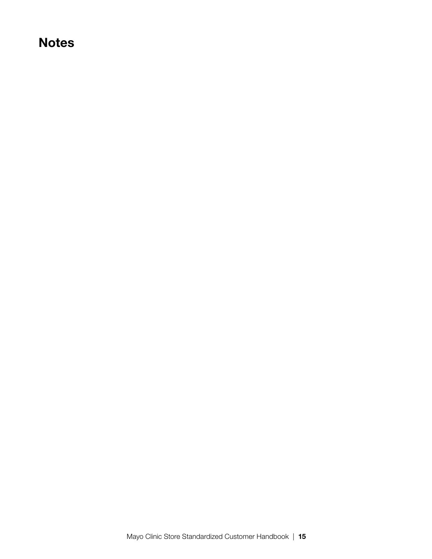#### **Notes**